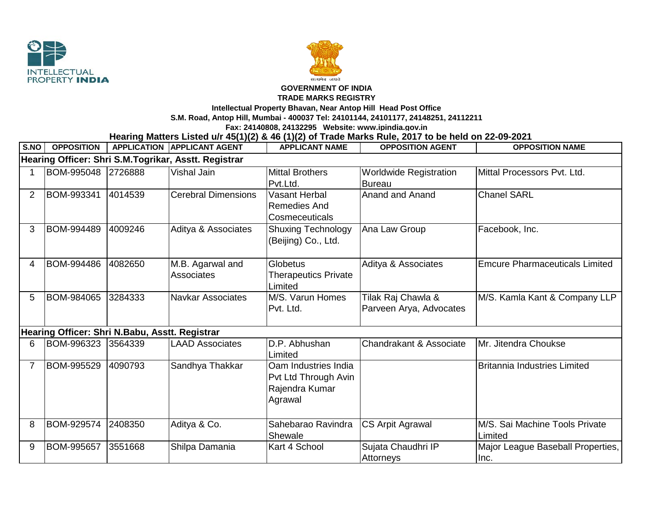



## **GOVERNMENT OF INDIA**

## **TRADE MARKS REGISTRY**

**Intellectual Property Bhavan, Near Antop Hill Head Post Office**

**S.M. Road, Antop Hill, Mumbai - 400037 Tel: 24101144, 24101177, 24148251, 24112211**

**Fax: 24140808, 24132295 Website: www.ipindia.gov.in**

**Hearing Matters Listed u/r 45(1)(2) & 46 (1)(2) of Trade Marks Rule, 2017 to be held on 22-09-2021** 

| S.NO                                                 | <b>OPPOSITION</b> |         | <b>APPLICATION APPLICANT AGENT</b> | <b>APPLICANT NAME</b>       | <b>OPPOSITION AGENT</b>       | <b>OPPOSITION NAME</b>                |  |  |  |  |  |
|------------------------------------------------------|-------------------|---------|------------------------------------|-----------------------------|-------------------------------|---------------------------------------|--|--|--|--|--|
| Hearing Officer: Shri S.M.Togrikar, Asstt. Registrar |                   |         |                                    |                             |                               |                                       |  |  |  |  |  |
|                                                      | BOM-995048        | 2726888 | <b>Vishal Jain</b>                 | <b>Mittal Brothers</b>      | <b>Worldwide Registration</b> | Mittal Processors Pvt. Ltd.           |  |  |  |  |  |
|                                                      |                   |         |                                    | Pvt.Ltd.                    | <b>Bureau</b>                 |                                       |  |  |  |  |  |
| 2                                                    | BOM-993341        | 4014539 | <b>Cerebral Dimensions</b>         | <b>Vasant Herbal</b>        | Anand and Anand               | <b>Chanel SARL</b>                    |  |  |  |  |  |
|                                                      |                   |         |                                    | <b>Remedies And</b>         |                               |                                       |  |  |  |  |  |
|                                                      |                   |         |                                    | Cosmeceuticals              |                               |                                       |  |  |  |  |  |
| 3                                                    | BOM-994489        | 4009246 | Aditya & Associates                | <b>Shuxing Technology</b>   | Ana Law Group                 | Facebook, Inc.                        |  |  |  |  |  |
|                                                      |                   |         |                                    | (Beijing) Co., Ltd.         |                               |                                       |  |  |  |  |  |
|                                                      |                   |         |                                    |                             |                               |                                       |  |  |  |  |  |
| 4                                                    | BOM-994486        | 4082650 | M.B. Agarwal and                   | Globetus                    | Aditya & Associates           | <b>Emcure Pharmaceuticals Limited</b> |  |  |  |  |  |
|                                                      |                   |         | Associates                         | <b>Therapeutics Private</b> |                               |                                       |  |  |  |  |  |
|                                                      |                   |         |                                    | Limited                     |                               |                                       |  |  |  |  |  |
| 5                                                    | BOM-984065        | 3284333 | <b>Navkar Associates</b>           | M/S. Varun Homes            | Tilak Raj Chawla &            | M/S. Kamla Kant & Company LLP         |  |  |  |  |  |
|                                                      |                   |         |                                    | Pvt. Ltd.                   | Parveen Arya, Advocates       |                                       |  |  |  |  |  |
|                                                      |                   |         |                                    |                             |                               |                                       |  |  |  |  |  |
| Hearing Officer: Shri N.Babu, Asstt. Registrar       |                   |         |                                    |                             |                               |                                       |  |  |  |  |  |
| 6                                                    | BOM-996323        | 3564339 | <b>LAAD Associates</b>             | D.P. Abhushan               | Chandrakant & Associate       | Mr. Jitendra Choukse                  |  |  |  |  |  |
|                                                      |                   |         |                                    | Limited                     |                               |                                       |  |  |  |  |  |
|                                                      | BOM-995529        | 4090793 | Sandhya Thakkar                    | Oam Industries India        |                               | <b>Britannia Industries Limited</b>   |  |  |  |  |  |
|                                                      |                   |         |                                    | Pvt Ltd Through Avin        |                               |                                       |  |  |  |  |  |
|                                                      |                   |         |                                    | Rajendra Kumar              |                               |                                       |  |  |  |  |  |
|                                                      |                   |         |                                    | Agrawal                     |                               |                                       |  |  |  |  |  |
|                                                      |                   |         |                                    |                             |                               |                                       |  |  |  |  |  |
| 8                                                    | BOM-929574        | 2408350 | Aditya & Co.                       | Sahebarao Ravindra          | <b>CS Arpit Agrawal</b>       | M/S. Sai Machine Tools Private        |  |  |  |  |  |
|                                                      |                   |         |                                    | Shewale                     |                               | Limited                               |  |  |  |  |  |
| 9                                                    | BOM-995657        | 3551668 | Shilpa Damania                     | Kart 4 School               | Sujata Chaudhri IP            | Major League Baseball Properties,     |  |  |  |  |  |
|                                                      |                   |         |                                    |                             | Attorneys                     | Inc.                                  |  |  |  |  |  |